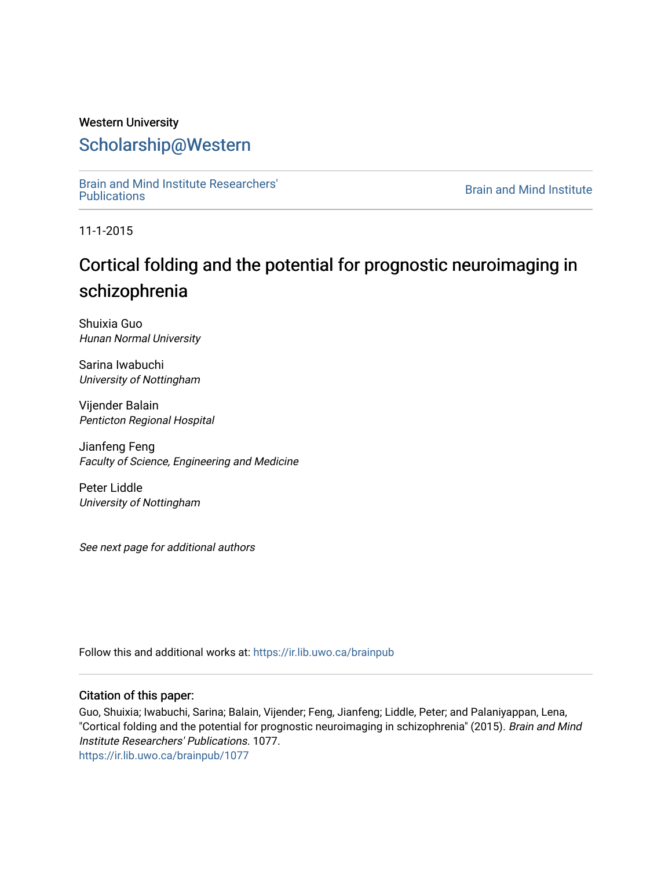## Western University [Scholarship@Western](https://ir.lib.uwo.ca/)

[Brain and Mind Institute Researchers'](https://ir.lib.uwo.ca/brainpub) 

**Brain and Mind Institute** 

11-1-2015

## Cortical folding and the potential for prognostic neuroimaging in schizophrenia

Shuixia Guo Hunan Normal University

Sarina Iwabuchi University of Nottingham

Vijender Balain Penticton Regional Hospital

Jianfeng Feng Faculty of Science, Engineering and Medicine

Peter Liddle University of Nottingham

See next page for additional authors

Follow this and additional works at: [https://ir.lib.uwo.ca/brainpub](https://ir.lib.uwo.ca/brainpub?utm_source=ir.lib.uwo.ca%2Fbrainpub%2F1077&utm_medium=PDF&utm_campaign=PDFCoverPages)

### Citation of this paper:

Guo, Shuixia; Iwabuchi, Sarina; Balain, Vijender; Feng, Jianfeng; Liddle, Peter; and Palaniyappan, Lena, "Cortical folding and the potential for prognostic neuroimaging in schizophrenia" (2015). Brain and Mind Institute Researchers' Publications. 1077. [https://ir.lib.uwo.ca/brainpub/1077](https://ir.lib.uwo.ca/brainpub/1077?utm_source=ir.lib.uwo.ca%2Fbrainpub%2F1077&utm_medium=PDF&utm_campaign=PDFCoverPages)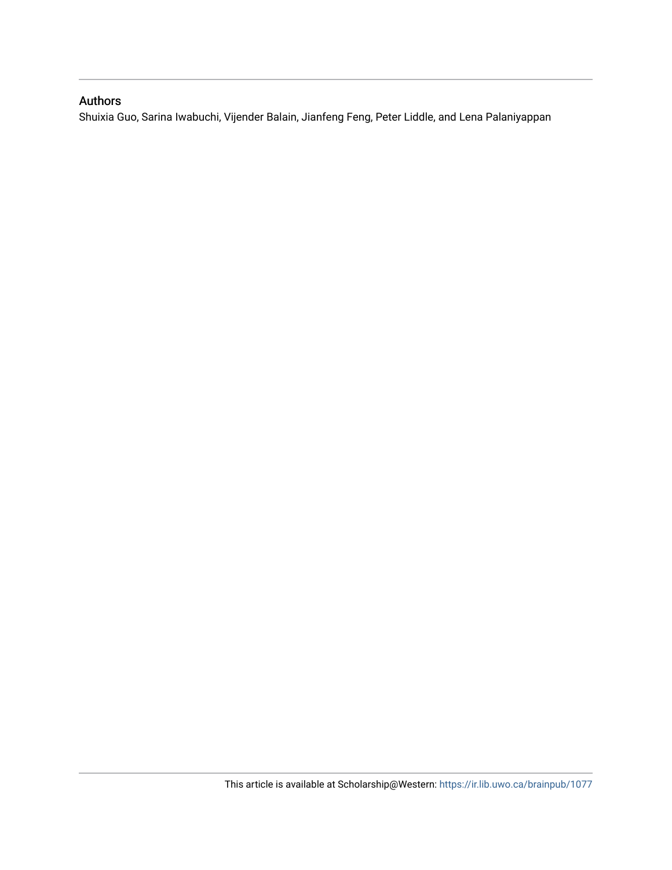## Authors

Shuixia Guo, Sarina Iwabuchi, Vijender Balain, Jianfeng Feng, Peter Liddle, and Lena Palaniyappan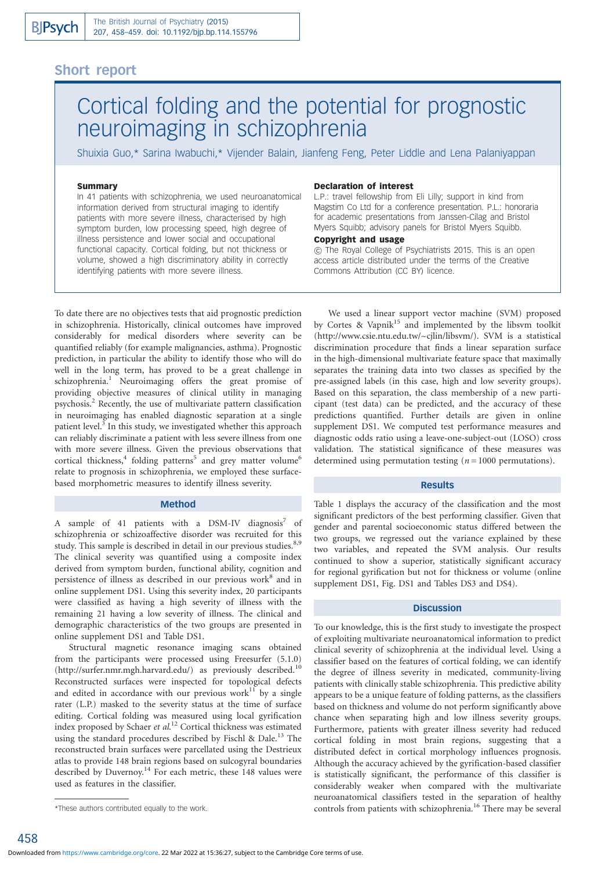### Short report

# Cortical folding and the potential for prognostic neuroimaging in schizophrenia

Shuixia Guo,\* Sarina Iwabuchi,\* Vijender Balain, Jianfeng Feng, Peter Liddle and Lena Palaniyappan

#### Summary

In 41 patients with schizophrenia, we used neuroanatomical information derived from structural imaging to identify patients with more severe illness, characterised by high symptom burden, low processing speed, high degree of illness persistence and lower social and occupational functional capacity. Cortical folding, but not thickness or volume, showed a high discriminatory ability in correctly identifying patients with more severe illness.

#### To date there are no objectives tests that aid prognostic prediction in schizophrenia. Historically, clinical outcomes have improved considerably for medical disorders where severity can be quantified reliably (for example malignancies, asthma). Prognostic prediction, in particular the ability to identify those who will do well in the long term, has proved to be a great challenge in schizophrenia.<sup>1</sup> Neuroimaging offers the great promise of providing objective measures of clinical utility in managing psychosis.2 Recently, the use of multivariate pattern classification in neuroimaging has enabled diagnostic separation at a single patient level.<sup>3</sup> In this study, we investigated whether this approach can reliably discriminate a patient with less severe illness from one with more severe illness. Given the previous observations that cortical thickness, $4$  folding patterns<sup>5</sup> and grey matter volume<sup>6</sup> relate to prognosis in schizophrenia, we employed these surfacebased morphometric measures to identify illness severity.

#### Method

A sample of 41 patients with a DSM-IV diagnosis7 of schizophrenia or schizoaffective disorder was recruited for this study. This sample is described in detail in our previous studies.<sup>8,9</sup> The clinical severity was quantified using a composite index derived from symptom burden, functional ability, cognition and persistence of illness as described in our previous work<sup>8</sup> and in online supplement DS1. Using this severity index, 20 participants were classified as having a high severity of illness with the remaining 21 having a low severity of illness. The clinical and demographic characteristics of the two groups are presented in online supplement DS1 and Table DS1.

Structural magnetic resonance imaging scans obtained from the participants were processed using Freesurfer (5.1.0) (http://surfer.nmr.mgh.harvard.edu/) as previously described.<sup>10</sup> Reconstructed surfaces were inspected for topological defects and edited in accordance with our previous work<sup>11</sup> by a single rater (L.P.) masked to the severity status at the time of surface editing. Cortical folding was measured using local gyrification index proposed by Schaer et al.<sup>12</sup> Cortical thickness was estimated using the standard procedures described by Fischl & Dale.<sup>13</sup> The reconstructed brain surfaces were parcellated using the Destrieux atlas to provide 148 brain regions based on sulcogyral boundaries described by Duvernoy.<sup>14</sup> For each metric, these 148 values were used as features in the classifier.

#### Declaration of interest

L.P.: travel fellowship from Eli Lilly; support in kind from Magstim Co Ltd for a conference presentation. P.L.: honoraria for academic presentations from Janssen-Cilag and Bristol Myers Squibb; advisory panels for Bristol Myers Squibb.

#### Copyright and usage

*B* The Royal College of Psychiatrists 2015. This is an open access article distributed under the terms of the Creative Commons Attribution (CC BY) licence.

We used a linear support vector machine (SVM) proposed by Cortes & Vapnik<sup>15</sup> and implemented by the libsvm toolkit (http://www.csie.ntu.edu.tw/~cjlin/libsvm/). SVM is a statistical discrimination procedure that finds a linear separation surface in the high-dimensional multivariate feature space that maximally separates the training data into two classes as specified by the pre-assigned labels (in this case, high and low severity groups). Based on this separation, the class membership of a new participant (test data) can be predicted, and the accuracy of these predictions quantified. Further details are given in online supplement DS1. We computed test performance measures and diagnostic odds ratio using a leave-one-subject-out (LOSO) cross validation. The statistical significance of these measures was determined using permutation testing  $(n = 1000$  permutations).

#### Results

Table 1 displays the accuracy of the classification and the most significant predictors of the best performing classifier. Given that gender and parental socioeconomic status differed between the two groups, we regressed out the variance explained by these two variables, and repeated the SVM analysis. Our results continued to show a superior, statistically significant accuracy for regional gyrification but not for thickness or volume (online supplement DS1, Fig. DS1 and Tables DS3 and DS4).

#### **Discussion**

To our knowledge, this is the first study to investigate the prospect of exploiting multivariate neuroanatomical information to predict clinical severity of schizophrenia at the individual level. Using a classifier based on the features of cortical folding, we can identify the degree of illness severity in medicated, community-living patients with clinically stable schizophrenia. This predictive ability appears to be a unique feature of folding patterns, as the classifiers based on thickness and volume do not perform significantly above chance when separating high and low illness severity groups. Furthermore, patients with greater illness severity had reduced cortical folding in most brain regions, suggesting that a distributed defect in cortical morphology influences prognosis. Although the accuracy achieved by the gyrification-based classifier is statistically significant, the performance of this classifier is considerably weaker when compared with the multivariate neuroanatomical classifiers tested in the separation of healthy controls from patients with schizophrenia.<sup>16</sup> There may be several

<sup>\*</sup>These authors contributed equally to the work.